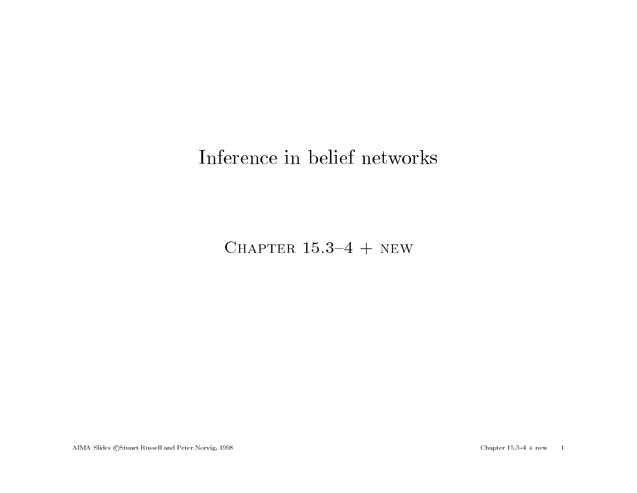## Inference in belief networks

CHAPTER  $15.3-4$  + NEW

AIMA Slides ©Stuart Russell and Peter Norvig, 1998 Chapter 15.3-4 + new 1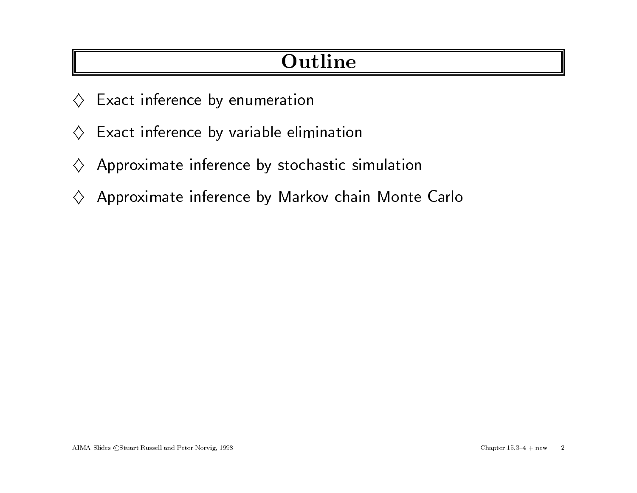# **Outline**

- $\diamondsuit$  Exact inference by enumeration
- $\diamondsuit$  Exact inference by variable elimination
- $\diamondsuit$  Approximate inference by stochastic simulation
- $\diamondsuit$  Approximate inference by Markov chain Monte Carlo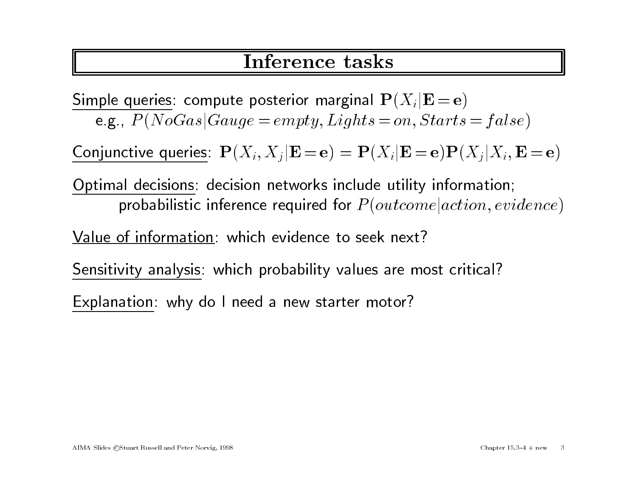## Inference tasks

Simple queries: compute posterior marginal  ${\bf P}(X_i|{\bf E} = {\bf e})$ e.g.,  $P(NoGas|Gauge = empty, Lights = on, Starts = false)$ 

Conjunctive queries:  $\mathbf{P}(X_i, X_j | \mathbf{E} = \mathbf{e}) = \mathbf{P}(X_i | \mathbf{E} = \mathbf{e}) \mathbf{P}(X_i | X_i, \mathbf{E} = \mathbf{e})$ 

Optimal decisions: decision networks include utility information; probabilistic inference required for  $P(outcome | action, evidence)$ 

Value of information: which evidence to seek next?

Sensitivity analysis: which probability values are most critical?

Explanation: why do <sup>I</sup> need <sup>a</sup> new starter motor?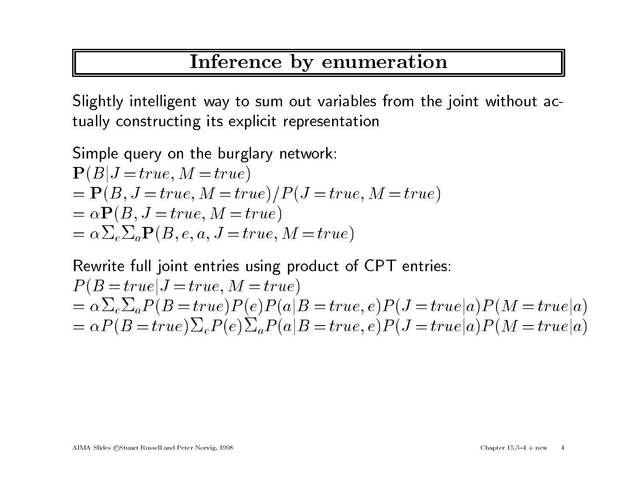# Inference by enumeration

Slightly intelligent way to sum out variables from the joint without ac-Slightly intelligent way to sum out variables<br>tually constructing its explicit representation tually constructing its explicit representation

Simple query on the burglary network:  
\n
$$
\mathbf{P}(B|J = true, M = true)
$$
\n
$$
= \mathbf{P}(B, J = true, M = true) / P(J = true, M = true)
$$
\n
$$
= \alpha \mathbf{P}(B, J = true, M = true)
$$
\n
$$
= \alpha \sum_{e} \sum_{a} \mathbf{P}(B, e, a, J = true, M = true)
$$

Rewrite full joint entries using product of CPT entries:  $P(B = true | J = true, M = true)$ Rewrite full joint entries using product of CPT entries:<br> $P(B = true | J = true, M = true)$ <br>=  $\alpha \sum_{e} \sum_{a} P(B = true)P(e)P(a|B = true, e)P(J = true | a)P(M = true | a)$  $\begin{aligned} & \text{Rewrite full joint entries using product of CP1 entries:} \ & P(B = true|J = true, M = true) \ & = \alpha \sum_{e} \sum_{a} P(B = true) P(e) P(a|B = true, e) P(J = true|a) P(M = true|a) \ & = \alpha P(B = true) \sum_{e} P(e) \sum_{a} P(a|B = true, e) P(J = true|a) P(M = true|a) \end{aligned}$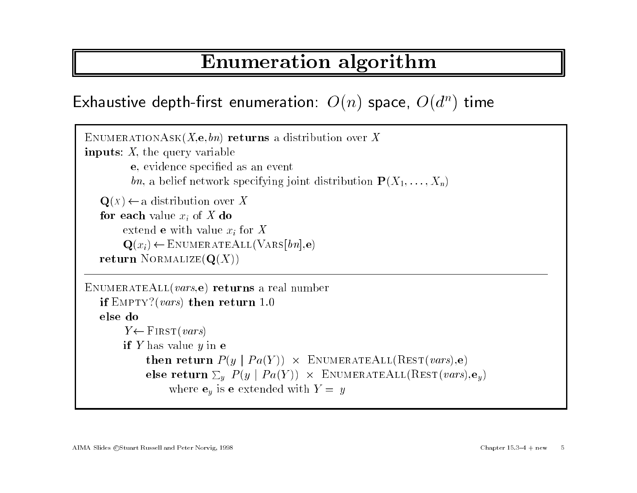# Enumeration algorithm

```
Exhaustive depth-first enumeration: O(n) space, O(d^n) time
```

```
\overline{\text{ENUMERATIONASK}(X, \mathbf{e}, bn)} returns a distribution over X
 {\rm EnumERATIONASK}(X, \mathbf{e}, bn) regiments: X, the query variable
inputs: X, the query variable<br>e, evidence specified as an event
                 bn, a belief network specifying joint distribution \mathbf{P}(X_1,\ldots,X_n)bn, a belief network spe<br>
Q(x) \leftarrow a distribution over X
      \mathbf{Q}(x) \leftarrow a distribution over<br>for each value x_i of X do
     for each value x_i of X do<br>extend e with value x_i for Xextend e with value x_i for \mathbf{X}<br>
\mathbf{Q}(x_i) \leftarrow \text{ENUMERATEALL}(\text{VARS}[bn], \mathbf{e})<br>
return NORMALIZE(\mathbf{Q}(X))
ENUMERATEALL(vars, e) returns a real number
      \texttt{UMERATEALL}(vars, \mathbf{e}) returns a return 1.0if E<mark>MP1</mark><br>else do
     else do<br>
Y \leftarrow FIRST(vars)
              if Y has value y in ethen return P(y \mid Pa(Y)) \times ENUMERATEALL(REST(vars),e)
                       then return P(y \mid Pa(Y)) \times ENUMERATEALL(REST(vars),e)<br>else return \Sigma_y P(y \mid Pa(Y)) \times ENUMERATEALL(REST(vars),e<sub>y</sub>)<br>where \mathbf{e}_y is e extended with Y = y
```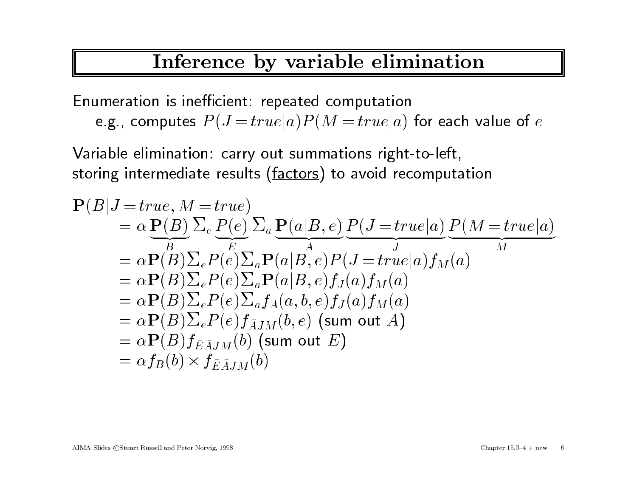# Inference by variable elimination

Enumeration is inefficient: repeated computation e.g., computes  $P(J = true | a) P(M = true | a)$  for each value of e

Variable elimination: carry out summations right-to-left, Variable elimination: carry out summations right-to-left,<br>storing intermediate results (<u>factors</u>) to avoid recomputation<br> $\mathbf{P}(B|J=true, M=true)$ 

storing intermediate results (factors) to avoid recomputation  
\n
$$
\mathbf{P}(B|J = true, M = true)
$$
\n
$$
= \alpha \underbrace{\mathbf{P}(B)}_{B} \sum_{e} P(e) \sum_{a} \underbrace{\mathbf{P}(a|B, e)}_{A} \underbrace{P(J = true|a)}_{J} \underbrace{P(M = true|a)}_{M}
$$
\n
$$
= \alpha \mathbf{P}(B) \sum_{e} P(e) \sum_{a} \mathbf{P}(a|B, e) P(J = true|a) f_M(a)
$$
\n
$$
= \alpha \mathbf{P}(B) \sum_{e} P(e) \sum_{a} \mathbf{P}(a|B, e) f_J(a) f_M(a)
$$
\n
$$
= \alpha \mathbf{P}(B) \sum_{e} P(e) \sum_{a} f_A(a, b, e) f_J(a) f_M(a)
$$
\n
$$
= \alpha \mathbf{P}(B) \sum_{e} P(e) f_{\overline{A}JM}(b, e) \text{ (sum out } A)
$$
\n
$$
= \alpha \mathbf{P}(B) f_{\overline{E} \overline{A}JM}(b) \text{ (sum out } E)
$$
\n
$$
= \alpha f_B(b) \times f_{\overline{E} \overline{A}JM}(b)
$$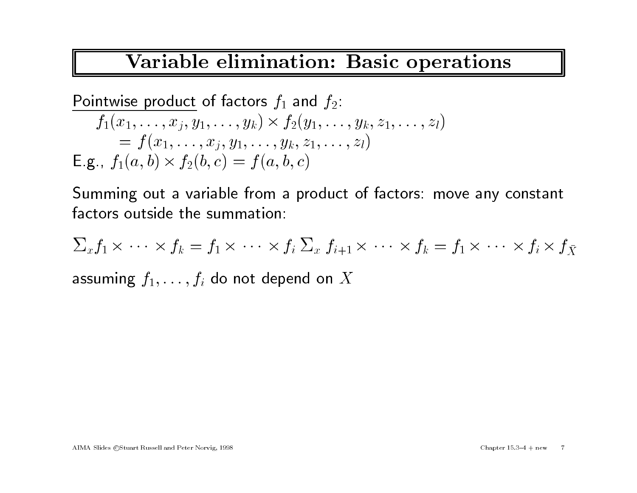# Variable elimination: Basic operations

Pointwise product of factors 
$$
f_1
$$
 and  $f_2$ :

\n
$$
f_1(x_1, \ldots, x_j, y_1, \ldots, y_k) \times f_2(y_1, \ldots, y_k, z_1, \ldots, z_l)
$$
\n
$$
= f(x_1, \ldots, x_j, y_1, \ldots, y_k, z_1, \ldots, z_l)
$$
\nE.g.,  $f_1(a, b) \times f_2(b, c) = f(a, b, c)$ 

Summing out <sup>a</sup> variable from <sup>a</sup> product of factors: move any constant factors outside the summation:<br> $\sum_x f_1 \times \cdots \times f_k = f_1 \times \cdots \times f_k$  $\frac{1}{2}$  $f_k = f_1 \times$  $\cdot$  ,  $\cdot$   $\times$ 

$$
\sum_x f_1 \times \cdots \times f_k = f_1 \times \cdots \times f_i \sum_x f_{i+1} \times \cdots \times f_k = f_1 \times \cdots \times f_i \times f_{\bar{X}}
$$

assuming  $f_1,\ldots,f_i$  do not depend on  $X$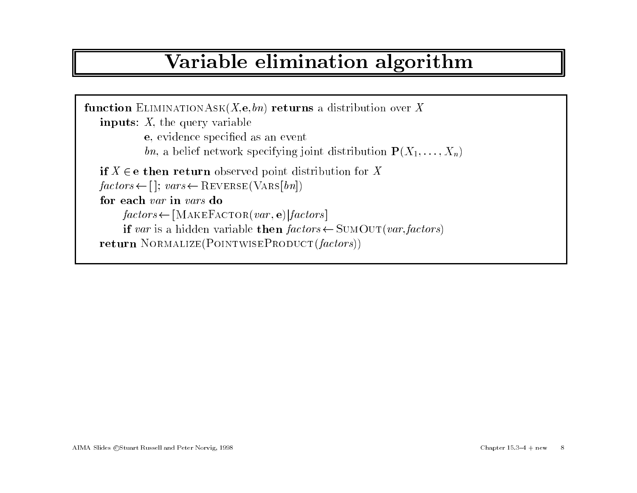# Variable elimination algorithm

```
function ELIMINATIONASK(X, \mathbf{e}, bn) returns a distribution over X
   inputs: X, the query variable
               e, evidence specied as an event
               bn, a belief network specifying joint distribution \mathbf{P}(X_1,\ldots,X_n)if X \ine then return observed point distribution for X
    factors \leftarrow [\ ]; \ vars \leftarrow \text{REVERSE}(\text{VARS}[bn])<br>for each var in vars do
   for each var in vars do<br>
\mathit{factors} \leftarrow [\text{MAKEFactor}(\text{var}, \mathbf{e}) | \text{factors}]if var is a hidden variable then factors \leftarrow \text{SUMOUT}(var, factors)return NORMALIZE(POINTWISEPRODUCT(factors))
```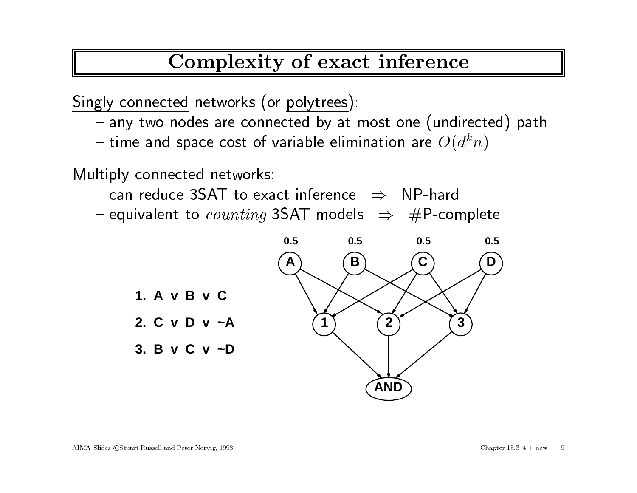Complexity of exact inference

Singly connected networks (or polytrees):

- **The Community** <mark>y connected</mark> networks (or <u>polytrees</u>):<br>any two nodes are connected by at most one (undirected) path
- **The Community** any two nodes are connected by at most one (undirect<br>time and space cost of variable elimination are  $O(d^kn)$ time and space cost of variable elimination are  $O($ <br>ply connected networks:<br>can reduce 3SAT to exact inference  $\Rightarrow$  NP-hard

Multiply connected networks:

- $\sim$  can reduce 3SAT to exact inference  $\Rightarrow$  NP-hard
- **The Community**  $\nonumber$  ply connected networks:<br>
can reduce 3SAT to exact inference  $\;\Rightarrow\;$  NP-hard<br>
equivalent to  $counting$  3SAT models  $\;\Rightarrow\;$  #P-complete

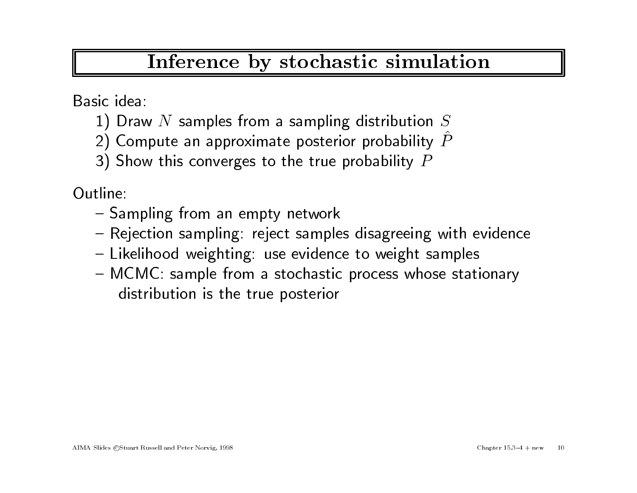## Inference by stochastic simulation

Basic idea:

- 1) Draw N samples from a sampling distribution  $S$
- 2) Compute an approximate posterior probability  $\overline{P}$
- 3) Show this converges to the true probability  $P$

Outline:

- **The Community** ne:<br>Sampling from an empty networ<mark>k</mark>
- **The Community** Sampling from an empty network<br>Rejection sampling: reject samples disagreeing with evidence
- {Rejection sampling: reject samples disagreeing with e<br>Likelihood weighting: use evidence to weight samples
- **The Community** Likelihood weighting: use evidence to weight samples<br>MCMC: sample from a stochastic process whose stationary 1CMC: sample from a stochast<mark>i</mark><br>distribution is the true posterior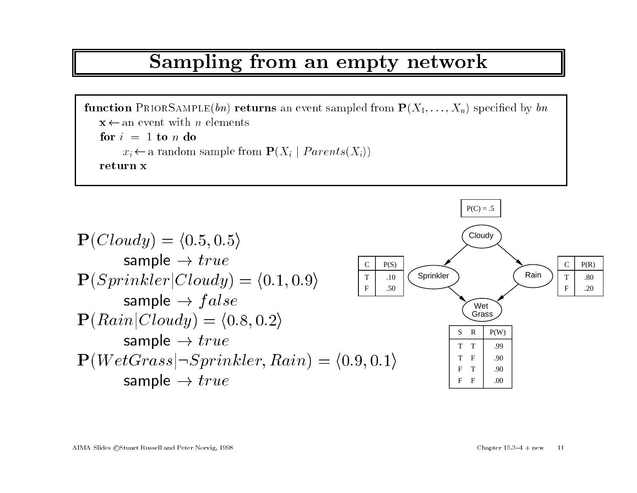#### Sampling from an empty network

 $\begin{array}{l} \textcolor{red}{\bullet} \textcolor{red}{\bullet} \textcolor{red}{\bullet} \textcolor{red}{\bullet} \textcolor{red}{\bullet} \textcolor{red}{\bullet} \textcolor{red}{\bullet} \textcolor{red}{\bullet} \textcolor{red}{\bullet} \textcolor{red}{\bullet} \textcolor{red}{\bullet} \textcolor{red}{\bullet} \textcolor{red}{\bullet} \textcolor{red}{\bullet} \textcolor{red}{\bullet} \textcolor{red}{\bullet} \textcolor{red}{\bullet} \textcolor{red}{\bullet} \textcolor{red}{\bullet} \textcolor{red}{\bullet} \textcolor{red}{\bullet} \textcolor{red}{\bullet} \textcolor{red}{\bullet} \textcolor{red}{$ **nction** PRIORSAMPLE(*bn*) ret<br> $\mathbf{x} \leftarrow$  an event with *n* elements  $\mathbf{x} \leftarrow \text{an event with } x \ \mathbf{x} \leftarrow \text{an event with } x \in \mathbf{f}$  $\mathbf{x} \leftarrow$  an event with *n* elements<br> **for**  $i = 1$  **to** *n* **do**<br>  $x_i \leftarrow$  a random sample from  $\mathbf{P}(X_i | Parents(X_i))$ return <sup>x</sup>

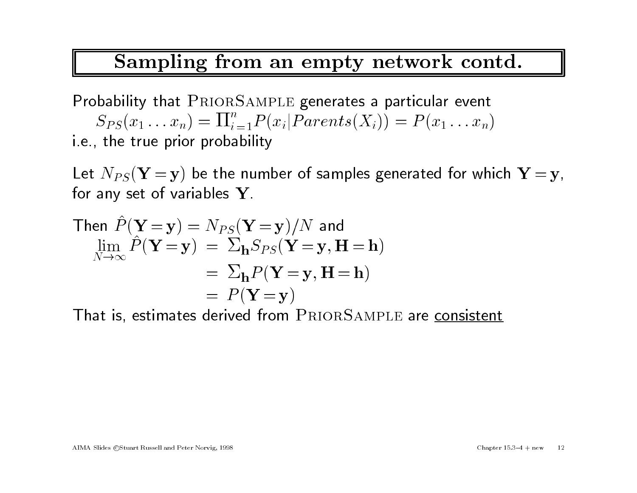#### Sampling from an empty network contd.

Probability that PRIORSAMPLE generates a particular event  $S_{PS}(x_1...x_n) = \prod_{i=1}^n P(x_i | Parents(X_i)) = P(x_1...x_n)$ i.e., the true prior probability  $S_{PS}(x_1 \ldots x_n) = \Pi_{i=1} P(x_i | Parents(X_i)) = P(x_1 \ldots x_n)$ i.e., the true prior probability<br>Let  $N_{PS}(\mathbf{Y} = \mathbf{y})$  be the number of samples generated for which  $\mathbf{Y} = \mathbf{y}$ ,

Let  $\text{v}_{PS}$ (  $\textbf{r} = \textbf{y}$ ) be the ni<br>for any set of variables  $\textbf{Y}$ . Let  $N_{PS}(\mathbf{\textbf{Y} = y})$  be the number ot sam $\text{for any set of variables }\mathbf{Y}. \ \ \text{Then }\hat{P}(\mathbf{Y=y})=N_{PS}(\mathbf{Y=y})/N$  and

for any set of variables 
$$
\mathbf{Y}
$$
.

\nThen  $\hat{P}(\mathbf{Y} = \mathbf{y}) = N_{PS}(\mathbf{Y} = \mathbf{y})/N$  and

\n
$$
\lim_{N \to \infty} \hat{P}(\mathbf{Y} = \mathbf{y}) = \sum_{\mathbf{h}} S_{PS}(\mathbf{Y} = \mathbf{y}, \mathbf{H} = \mathbf{h})
$$
\n
$$
= \sum_{\mathbf{h}} P(\mathbf{Y} = \mathbf{y}, \mathbf{H} = \mathbf{h})
$$

\n
$$
= P(\mathbf{Y} = \mathbf{y})
$$

That is, estimates derived from PRIORSAMPLE are consistent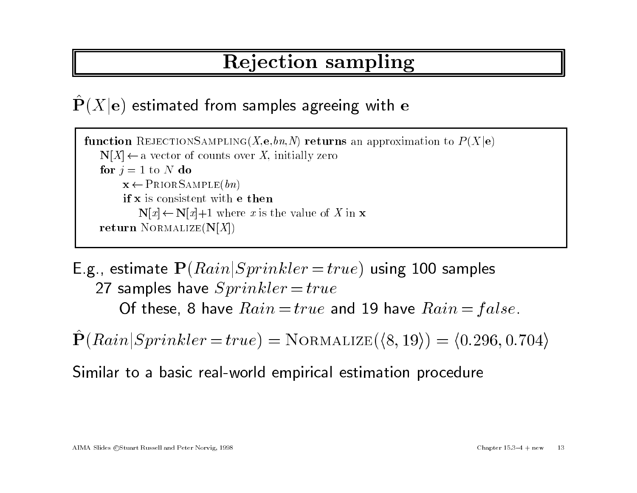# Rejection sampling

#### $\hat{\mathbf{P}}(X|\mathbf{e})$  estimated from samples agreeing with e

function REJECTIONSAMPLING(X,e, bn, N) returns an approximation to  $P(X|\mathbf{e})$ nction REJECTIONSAMPLING(X,e, bn, N) returi<br>  $N[X] \leftarrow$  a vector of counts over X, initially zero<br>
for  $j = 1$  to N do for  $j = 1$  to N do<br>  $\mathbf{x} \leftarrow \text{PRIOR SAMPLE}(bn)$ if <sup>x</sup> is consistent with <sup>e</sup> then  $N[x] \leftarrow N[x]+1$  where x is the value of X in x return NORMALIZE $(N[X])$ 

 $\begin{array}{|l|} \hline \text{return NORMALIZE(N[X])} \ \hline \end{array}$ E.g., estimate  $\mathbf{P}(Rain|Sprinkler = true)$  using 100 samples  $\begin{array}{l} \text{\textbf{.},} \text{ estimate } \mathbf{P}(Rain|Sprinkler = tr) \\ \text{\textbf{27} samples have } Sprinkler = true \end{array}$ 27 samples have  $Sprinkler = true$ <br>Of these, 8 have  $Rain = true$  and 19 have  $Rain = false$ .

 $\hat{\mathbf{P}}(Rain|Sprinkler = true) = NORMALIZE(\langle 8, 19 \rangle) = \langle 0.296, 0.704 \rangle$ 

Similar to <sup>a</sup> basic real-world empirical estimation procedure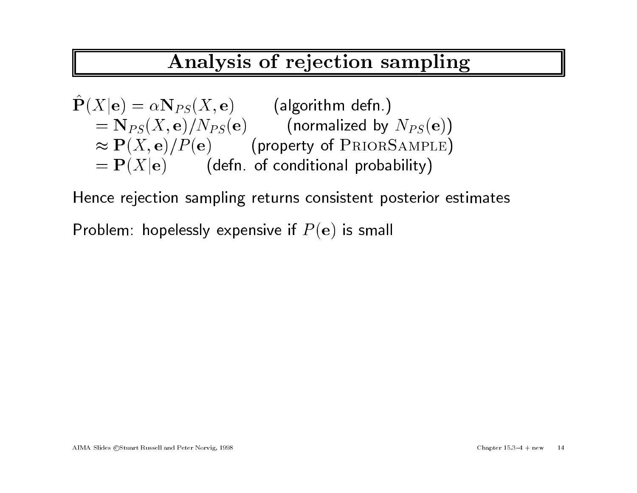# Analysis of rejection sampling

| Analysis of rejection sampling                                           |                                       |
|--------------------------------------------------------------------------|---------------------------------------|
| $\hat{\mathbf{P}}(X \mathbf{e}) = \alpha \mathbf{N}_{PS}(X, \mathbf{e})$ | (algorithm defn.)                     |
| $= \mathbf{N}_{PS}(X, \mathbf{e})/N_{PS}(\mathbf{e})$                    | (normalized by $N_{PS}(\mathbf{e})$ ) |
| $\approx \mathbf{P}(X, \mathbf{e})/P(\mathbf{e})$                        | (property of PRIORSAMPLE)             |
| $= \mathbf{P}(X \mathbf{e})$                                             | (defn of conditional probability)     |

Hence rejection sampling returns consistent posterior estimates

Problem: hopelessly expensive if  $P(e)$  is small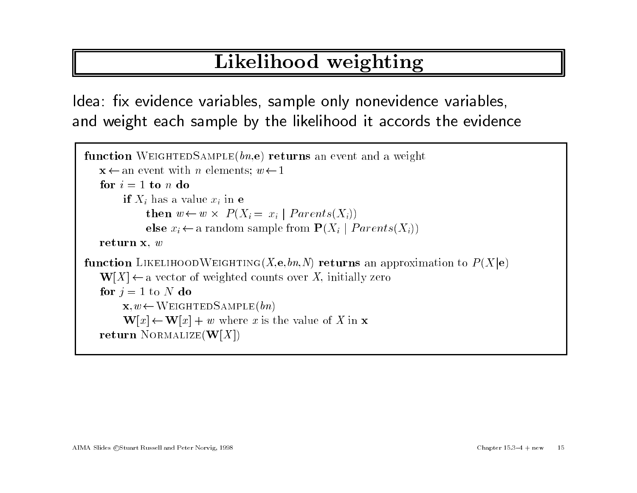# Likelihood weighting

Idea: fix evidence variables, sample only nonevidence variables, and weight each sample by the likelihood it accords the evidence

```
\frac{1}{\pi}\sum_{\text{function WeIGHTEDSAMPLE}(bn,\mathbf{e})} returns an event and a weight
     \mathbf{action} \text{WEIGHTEDSAMPLE}(bn, \mathbf{e}) \text{ } \mathbf{ret} \ \mathbf{x} \leftarrow \text{an event with } n \text{ elements}; \text{ } w \leftarrow 1\mathbf{x} \leftarrow an event with n elements; w \leftarrow 1<br>for i = 1 to n do
             = 1 to n do<br>if X_i has a value x_i in e
                    \frac{1}{x} has a value x<br>then w \leftarrow w \timesthen w \leftarrow w \times P(X_i = x_i | Parents(X_i))else x_i \leftarrow a random sample from \mathbf{P}(X_i | Parents(X_i))return x, wfunction LIKELIHOODWEIGHTING(X,e, bn, N) returns an approximation to P(X|e)\mathbf{W}[X] \leftarrow a vector of weighted counts over X, initially zero
    for j = 1 to N do
            \mathbf{x}, w \leftarrow \text{WEIGHTEDSAMPLE}(bn)\mathbf{W}[x] \leftarrow \mathbf{W}[x] + w where x is the value of X in x
    return NORMALIZE(\mathbf{W}[X])
```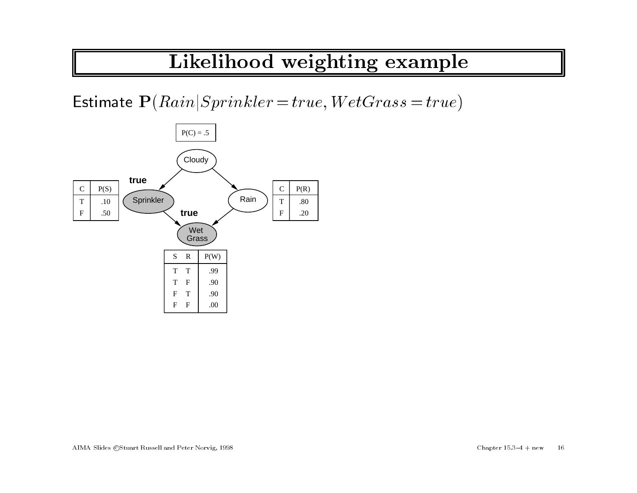# Likelihood weighting example

Estimate  $P(Rain|Sprinkler = true, WetGrass = true)$ 

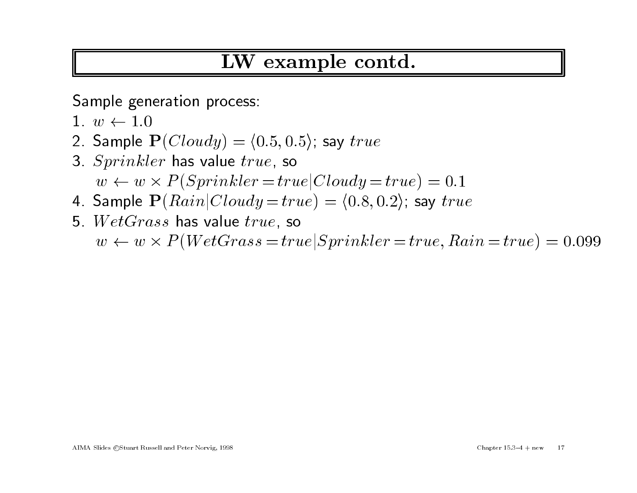# LW example contd.

Sample generation process:<br>1.  $w \leftarrow 1.0$ 

- 
- $\begin{aligned} \textsf{Sample} \textup{ generation process:} \ 1. \; w \leftarrow 1.0 \ 2. \; \textsf{Sample} \; \mathbf{P}(Cloudy) = \langle 0.5, 0.5 \rangle; \textup{ say } true \end{aligned}$ 2. Sample  $\mathbf{P}(Cloudy) = \langle 0.5, 0.3, Sprinkler$  has value  $true$ , so
- 3. Sprinkler has value true, so  $w \leftarrow w \times P(Sprinkler = true|Cloudy = true) = 0.1$ 3. Sprinkler has value true, so<br>  $w \leftarrow w \times P(Sprinkler = true|Cloudy = true) = 0.1$ <br>
4. Sample  $\mathbf{P}(Rain|Cloudy = true) = \langle 0.8, 0.2 \rangle$ ; say true
- 4. Sample  $\mathbf{P}(Rain|Cloudy=trv)$ 5.  $WetGrass$  has value  $true$ , so
- 5.  $WetGrass$  has value  $true$ , so  $w \leftarrow w \times P(WetGrass = true | Sprinkler = true, Rain = true) = 0.099$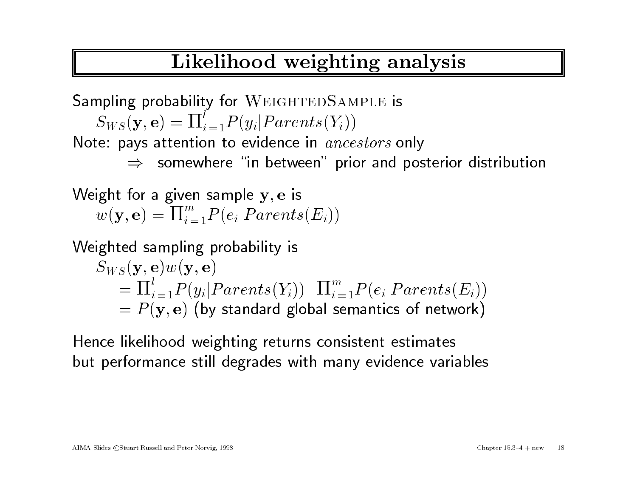# Likelihood weighting analysis

Sampling probability for WEIGHTEDSAMPLE is  $\begin{split} \mathcal{S}_{WS}(\mathbf{y},\mathbf{e}) = \prod_{i=1}^{l} P(y_i| Parents(Y_i)) \end{split}$  $S_{WS}(\mathbf{y},\mathbf{e})=\Pi_{i=1}^{l}P(y_i|Parents(Y_i))$ Note: pays attention to evidence in  $\mathit{ancestors}$  only Note: pays attention to evidence in  $\mathit{ancestors}$  only<br> $\Rightarrow$  somewhere "in between" prior and posterior distribution

Weight for a given sample  $y, e$  is  $w(\mathbf{y}, \mathbf{e}) = \prod_{i=1}^{m} P(e_i | Parents(E_i))$ 

Weighted sampling probability is

$$
\begin{aligned} &\text{is} \text{ghted sampling probability is} \\ &S_{WS}(\mathbf{y}, \mathbf{e})w(\mathbf{y}, \mathbf{e}) \\ &= \Pi_{i=1}^l P(y_i | Parents(Y_i)) \quad \Pi_{i=1}^m P(e_i | Parents(E_i)) \\ &= P(\mathbf{y}, \mathbf{e}) \text{ (by standard global semantics of network)} \end{aligned}
$$

Hence likelihood weighting returns consistent estimates but performance still degrades with many evidence variables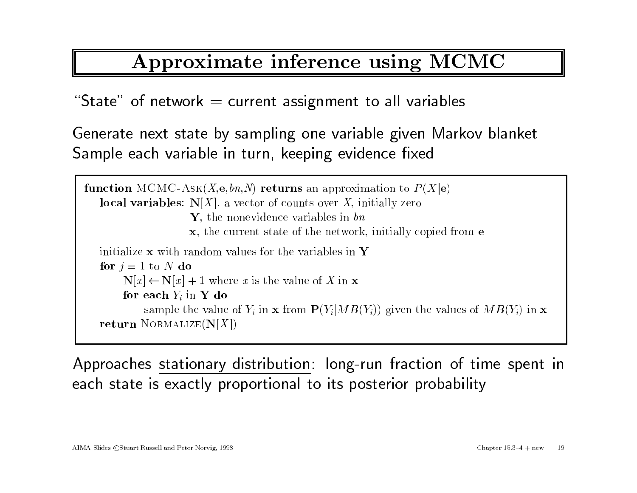# Approximate inference using MCMC

"State" of network  $=$  current assignment to all variables

Generate next state by sampling one variable <sup>g</sup>iven Markov blanket Generate next state by sampling one variable given<br>Sample each variable in turn, keeping evidence fixed

```
function \mathrm{MCMC\text{-}ASK}(X, \mathbf{e}, bn, N) returns an approximation to P(X|\mathbf{e})local variables: N[X, e, bn, N) returns an approximation to P local variables: N[X], a vector of counts over X, initially zero
   local variables: N[X], a vector of counts over X, initially zero<br>Y, the nonevidence variables in bn
                               x, the current state of the network, initially copied from e
   initialize x with random values for the variables in Yfor j = 1 to N do
           alize x with random values for the variables in<br>
N[x] \leftarrow N[x] + 1 where x is the value of X in x
           \mathbf{N}[x] \leftarrow \mathbf{N}[x] + 1 where \mathbf{K}[x] where \mathbf{K}[x] in \mathbf{Y} do
           for each Y_i in Y do<br>sample the value of Y_i in x from P(Y_i|MB(Y_i)) given the values of MB(Y_i) in x
   return NORMALIZE(N[X])
```
Approaches stationary distribution: long-run fraction of time spent in each state is exactly proportional to its posterior probability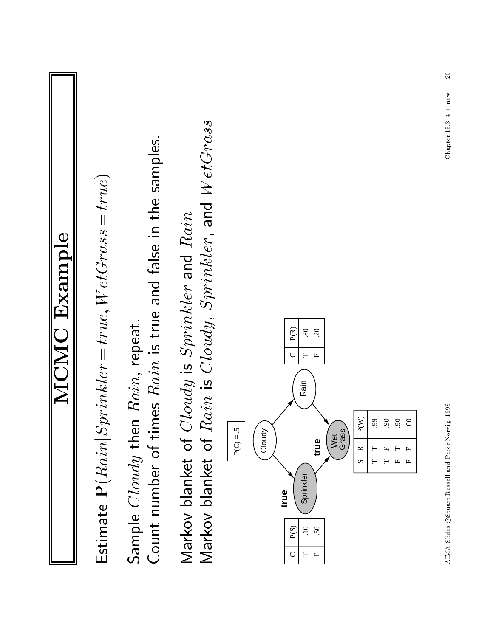| <b>MCMC Example</b>                                                                                                                                                                                                                                                                                                            |
|--------------------------------------------------------------------------------------------------------------------------------------------------------------------------------------------------------------------------------------------------------------------------------------------------------------------------------|
| Estimate $\mathbf{P}(Rain Spring = true, WetGrass = true)$                                                                                                                                                                                                                                                                     |
| Count number of times $Rain$ is true and false in the samples.<br>Sample Cloudy then Rain, repeat.                                                                                                                                                                                                                             |
| Markov blanket of Rain is Cloudy, Sprinkler, and WetGrass<br>Markov blanket of Cloudy is Sprinkler and Rain                                                                                                                                                                                                                    |
| $\mathbf{P}(\mathbf{R})$<br>$80\,$<br>$\overline{c}$<br>$\cup$<br>$\vdash$<br>$\mathbb{L}$<br>Rain<br>P(W)<br>$\mathcal{S}$<br>$\mathcal{S}$<br>$99$<br>$\infty$<br>$P(C) = .5$<br>Cloudy<br>Wet<br>Grass<br>true<br>$\simeq$<br>Ľ.<br>s<br>Sprinkler<br>true<br>P(S)<br>$\ddot{=}$<br>50<br>$\mathsf{C}$<br>$\mathbf{L}$<br>⊢ |
| $\overline{20}$<br>Chapter $15.3-4 + new$<br>AIMA Slides ©Stuart Russell and Peter Norvig, 1998                                                                                                                                                                                                                                |

 $\Lambda\text{IMA}$  Slides  $\odot\text{Stuart}$  Russell and Peter Norvig, 1998

 $20$ Chapter 15.3-4 + new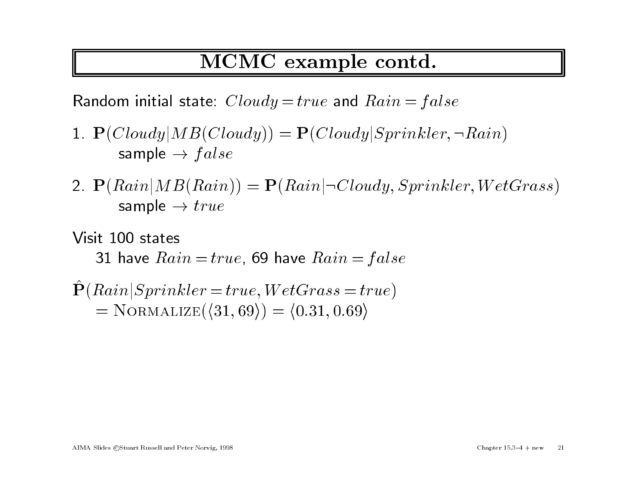## MCMC example contd.

Random initial state:  $Cloudy = true$  and  $Rain = false$ 

- Random initial state:  $Cloudy = true$  and  $Rain = false$ <br>1.  $\mathbf{P}(Cloudy | MB(Cloudy)) = \mathbf{P}(Cloudy | Sprinkler, \neg Rain)$ <br>sample  $\rightarrow false$
- 2.  $\mathbf{P}(Rain | MB(Rain)) = \mathbf{P}(Rain | \neg Cloudy, Sprinkler, WetGrass)$ <br>sample  $\rightarrow true$

Visit <sup>100</sup> states 31 have  $Rain = true$ , 69 have  $Rain = false$ 31 have  $Rain = true$ , 69 have  $Rain = fals$ <br> $\hat{P}(Rain|Sprinkler = true, WetGrass = true)$ 

$$
\hat{\mathbf{P}}(Rain|Sprinkler = true, WetGrass = true)
$$
\n
$$
= NORMALIZE(\langle 31, 69 \rangle) = \langle 0.31, 0.69 \rangle
$$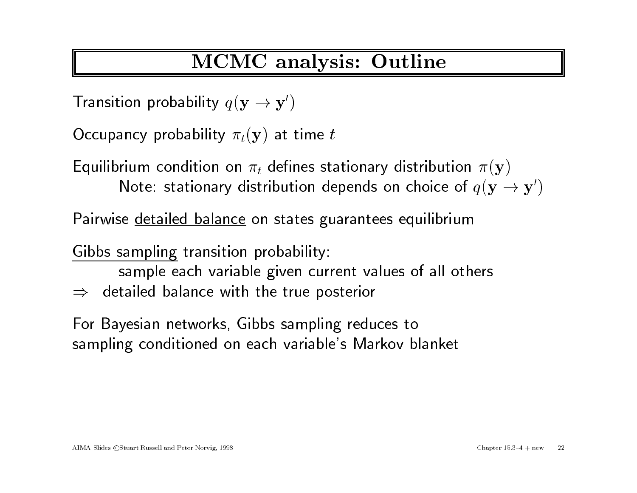# MCMC analysis: Outline

Transition probability  $q(\mathbf{y} \rightarrow \mathbf{y}')$ 

Occupancy probability  $\pi_t(\mathbf{y})$  at time t

Equilibrium condition on  $\pi_t$  defines stationary distribution  $\pi(\mathbf{y})$ Fincy probability  $\pi_t(\mathbf{y})$  at time  $t$ <br>rium condition on  $\pi_t$  defines stationary distribution  $\pi(\mathbf{y})$ <br>Note: stationary distribution depends on choice of  $q(\mathbf{y} \to \mathbf{y}')$ Lyambriam condition on  $n_t$  acincs stationary distribution<br>Note: stationary distribution depends on choice of<br>Pairwise <u>detailed balance</u> on states guarantees equilibrium

Pairwise <u>detailed balance</u> on states guarantees equilibrium<br>Gibbs sampling transition probability:

sample each variable <sup>g</sup>iven current values of all others

 $\Rightarrow$  detailed balance with the true posterior

For Bayesian networks, Gibbs sampling reduces to sampling conditioned on each variable's Markov blanket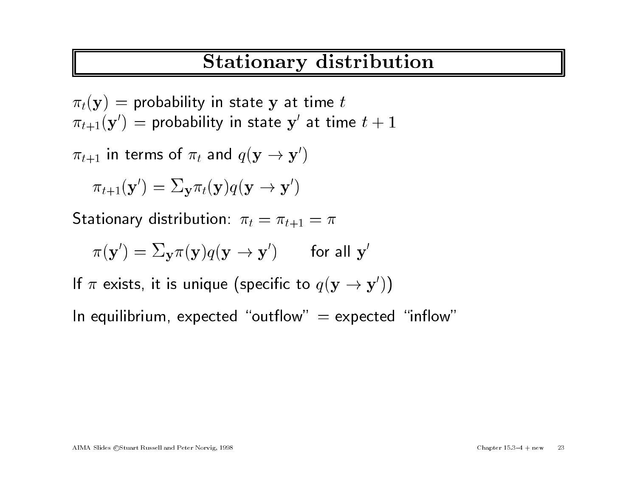# Stationary distribution

 $\pi_t(\mathbf{y})$  = probability in state y at time t  $\pi_t(\mathbf{y})$  = probability in state  $\mathbf{y}$  at time  $t$ <br>  $\pi_{t+1}(\mathbf{y}')$  = probability in state  $\mathbf{y}'$  at time  $t + 1$ <br>  $\pi_{t+1}$  in terms of  $\pi_t$  and  $q(\mathbf{y} \to \mathbf{y}')$ 

 $\pi_{t+1}$  in terms of  $\pi_t$  and  $q(\mathbf{y} \to \mathbf{y}')$ 

$$
\pi_{t+1}(\mathbf{y}') = \sum_{\mathbf{y}} \pi_t(\mathbf{y}) q(\mathbf{y} \to \mathbf{y}')
$$
  
Stationary distribution:  $\pi_t = \pi_{t+1} = \pi$ 

$$
\pi_{t+1}(\mathbf{y}) - \Delta \mathbf{y} \pi_t(\mathbf{y}) q(\mathbf{y} \to \mathbf{y})
$$
  
ationary distribution:  $\pi_t = \pi_{t+1} = \pi$   

$$
\pi(\mathbf{y}') = \Sigma_{\mathbf{y}} \pi(\mathbf{y}) q(\mathbf{y} \to \mathbf{y}') \qquad \text{for all } \mathbf{y}'
$$

If  $\pi$  exists, it is unique (specific to  $q(\mathbf{y} \rightarrow \mathbf{y}^{\prime})$ )

In equilibrium, expected "outflow"  $=$  expected "inflow"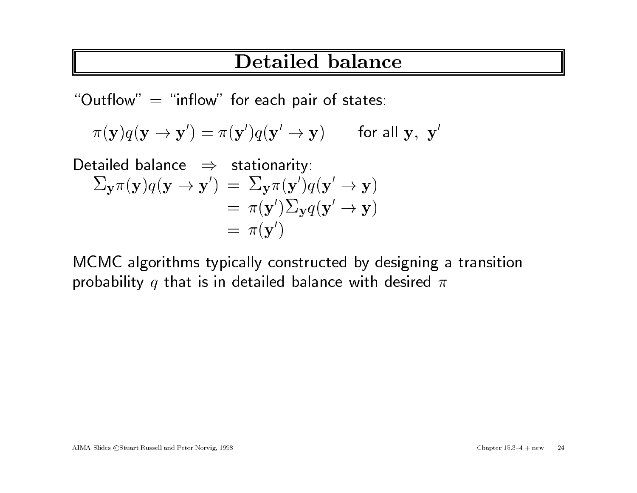## Detailed balance

" $\overline{\mathrm{Out}}$ flow"  $\,=\,$  "inflow" for each pair of states:

$$
uuthow" = "inflow" for each pair of states:\n\pi(\mathbf{y})q(\mathbf{y} \rightarrow \mathbf{y}') = \pi(\mathbf{y}')q(\mathbf{y}' \rightarrow \mathbf{y}) \qquad \text{for all } \mathbf{y}, \mathbf{y}'
$$

Detailed balance  $\Rightarrow$  stationarity:  $\begin{align} \pi(\mathbf{y})q(\mathbf{y} \rightarrow \mathbf{y}') &= \pi(\mathbf{y}')q(\mathbf{y}' \rightarrow \mathbf{y}) \qquad \text{for} \ \pi(\mathbf{y})q(\mathbf{y} \rightarrow \mathbf{y}') &= \Sigma_{\mathbf{y}}\pi(\mathbf{y}')q(\mathbf{y}' \rightarrow \mathbf{y}') \end{align}$ stationarity:<br>
=  $\Sigma_{\mathbf{y}} \pi(\mathbf{y}')q(\mathbf{y}' \to \mathbf{y})$ <br>
=  $\pi(\mathbf{y}')\Sigma_{\mathbf{y}} q(\mathbf{y}' \to \mathbf{y})$ =  $\pi(\mathbf{y}')\sum_{\mathbf{y}} q(\mathbf{y}' \to \mathbf{y})$ <br>=  $\pi(\mathbf{y}')$ 

 $\begin{array}{c} \text{\normalsize{$\mathfrak{m}$}} \to \text{\normalsize{$\mathfrak{m}$}} \times \text{\normalsize{$\mathfrak{m}$}} \ \text{\normalsize{$\mathfrak{m}$}} \end{array}$  MCMC algorithms typically constructed by designing a transition MCMC algorithms typically constructed by designing a<br>probability  $q$  that is in detailed balance with desired  $\pi$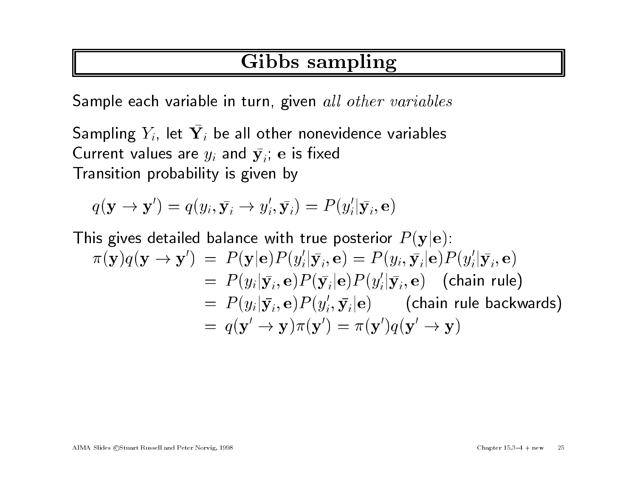# Gibbs sampling

Sample each variable in turn, given all other variables

Sampling  $Y_i$ , let  $\bar{\mathbf{Y}}_i$  be all other nonevidence variables Sampling  $Y_i$ , let  $\bar{\mathbf{Y}}_i$  be all other nonev<br>Current values are  $y_i$  and  $\bar{\mathbf{y}}_i$ ; e is fixed Current values are  $y_i$  and  $\bar{\mathbf{y}}_i$ ; e is fixed<br>Transition probability is given by<br> $q(\mathbf{y} \to \mathbf{y}') = q(y_i, \bar{\mathbf{y}}_i \to y'_i, \bar{\mathbf{y}}_i) = P(y'_i | \bar{\mathbf{y}}_i, \mathbf{e})$ 

$$
q(\mathbf{y} \to \mathbf{y}') = q(y_i, \bar{\mathbf{y}}_i \to y'_i, \bar{\mathbf{y}}_i) = P(y'_i | \bar{\mathbf{y}}_i, \mathbf{e})
$$

This gives detailed balance with true posterior  $P(\mathbf{y}|\mathbf{e})$ :  $\pi(\mathbf{y})q(\mathbf{y} \to \mathbf{y}') = P(\mathbf{y}|\mathbf{e})P(y_i'|\bar{\mathbf{y}}_i, \mathbf{e}) = P(y_i, \bar{\mathbf{y}}_i|\mathbf{e})P(y_i'|\bar{\mathbf{y}}_i, \mathbf{e})$  $= P(y_i|\bar{y}_i, e)P(\bar{y}_i|e)P(y_i'|\bar{y}_i, e)$  (chain rule)  $\begin{split} & \mathcal{L} = \ P(\mathbf{y}|\mathbf{e})P(y_i|\mathbf{y}_i,\mathbf{e}) = P(y_i,\mathbf{y}_i|\mathbf{e})P(y_i|\mathbf{y}_i,\mathbf{e}) \ & \quad = \ P(y_i|\bar{\mathbf{y}_i},\mathbf{e})P(\bar{\mathbf{y}_i}|\mathbf{e})P(y_i|\bar{\mathbf{y}_i},\mathbf{e}) \quad \text{(chain rule)} \ & \quad = \ P(y_i|\bar{\mathbf{y}_i},\mathbf{e})P(y_i',\bar{\mathbf{y}_i}|\mathbf{e}) \qquad \text{(chain rule backwards)} \end{split}$  $P(y_i | \mathbf{y}_i, \mathbf{e}) = P(y_i | \mathbf{y}_i, \mathbf{e}) P(\mathbf{y}_i | \mathbf{e}) P(y_i | \mathbf{y}_i, \mathbf{e})$  (cheap  $P(y_i | \mathbf{y}_i, \mathbf{e}) P(y_i | \mathbf{y}_i, \mathbf{e})$ ) (cheap  $P(y_i | \mathbf{y}_i, \mathbf{e}) P(y_i | \mathbf{y}_i, \mathbf{e}) = q(\mathbf{y}' \rightarrow \mathbf{y}) \pi(\mathbf{y}') = \pi(\mathbf{y}') q(\mathbf{y}' \rightarrow \mathbf{y})$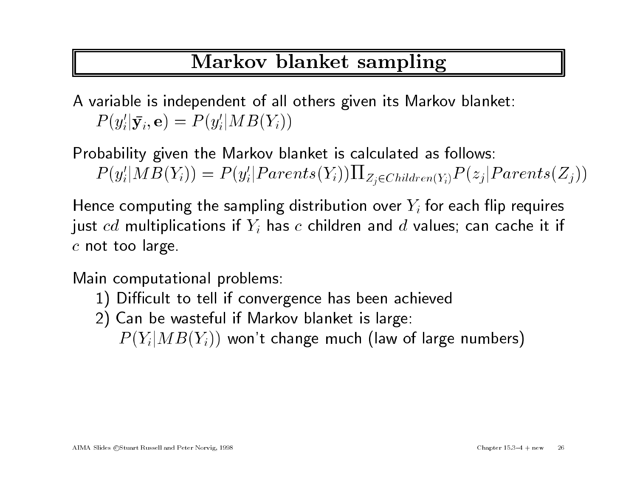# Markov blanket sampling

<sup>A</sup> variable is independent of all others <sup>g</sup>iven its Markov blanket:  $P(y_i'|\bar{y}_i, e) = P(y_i'|MB(Y_i))$ 

Probability <sup>g</sup>iven the Markov blanket is calculated as follows:  $P(y_i'|MB(Y_i)) = P(y_i'|Parents(Y_i))\prod_{Z_i \in Children(Y_i)} P(z_j|Parents(Z_j))$ 

Hence computing the sampling distribution over  $Y_i$  for each flip requires Hence computing the sampling distribution over  $Y_i$  for each flip requires just  $cd$  multiplications if  $Y_i$  has  $c$  children and  $d$  values; can cache it if just  $cd$  multipli $c$  not too large.

Main computational problems:

- 1) Difficult to tell if convergence has been achieved
- 2) Can be wasteful if Markov blanket is large:

 $P(Y_i|MB(Y_i))$  won't change much (law of large numbers)